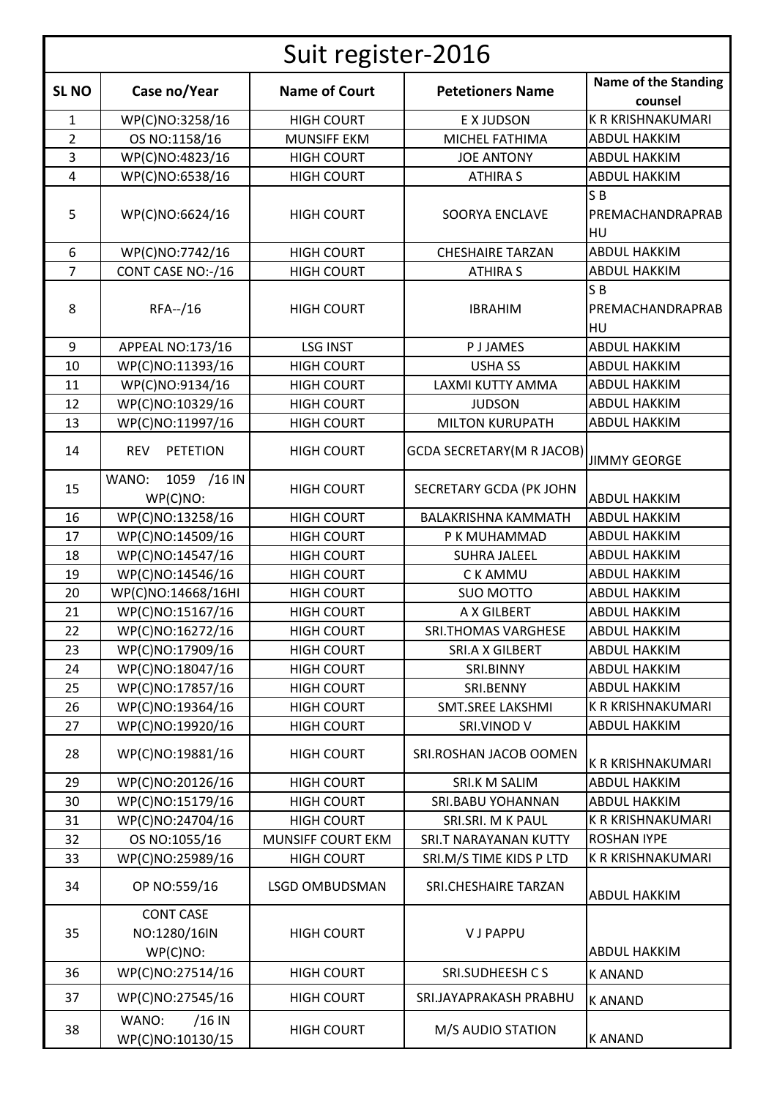| Suit register-2016 |                                              |                       |                                                |                                          |  |  |
|--------------------|----------------------------------------------|-----------------------|------------------------------------------------|------------------------------------------|--|--|
| <b>SL NO</b>       | Case no/Year                                 | <b>Name of Court</b>  | <b>Petetioners Name</b>                        | <b>Name of the Standing</b><br>counsel   |  |  |
| $\mathbf{1}$       | WP(C)NO:3258/16                              | <b>HIGH COURT</b>     | E X JUDSON                                     | K R KRISHNAKUMARI                        |  |  |
| $\overline{2}$     | OS NO:1158/16                                | <b>MUNSIFF EKM</b>    | MICHEL FATHIMA                                 | <b>ABDUL HAKKIM</b>                      |  |  |
| 3                  | WP(C)NO:4823/16                              | <b>HIGH COURT</b>     | <b>JOE ANTONY</b>                              | <b>ABDUL HAKKIM</b>                      |  |  |
| $\overline{4}$     | WP(C)NO:6538/16                              | <b>HIGH COURT</b>     | <b>ATHIRA S</b>                                | <b>ABDUL HAKKIM</b>                      |  |  |
|                    |                                              |                       |                                                | SB                                       |  |  |
| 5                  | WP(C)NO:6624/16                              | <b>HIGH COURT</b>     | <b>SOORYA ENCLAVE</b>                          | PREMACHANDRAPRAB<br>HU                   |  |  |
| 6                  | WP(C)NO:7742/16                              | <b>HIGH COURT</b>     | <b>CHESHAIRE TARZAN</b>                        | <b>ABDUL HAKKIM</b>                      |  |  |
| $\overline{7}$     | CONT CASE NO:-/16                            | <b>HIGH COURT</b>     | <b>ATHIRA S</b>                                | <b>ABDUL HAKKIM</b>                      |  |  |
| 8                  | RFA--/16                                     | <b>HIGH COURT</b>     | <b>IBRAHIM</b>                                 | S <sub>B</sub><br>PREMACHANDRAPRAB<br>HU |  |  |
| 9                  | APPEAL NO:173/16                             | <b>LSG INST</b>       | <b>PJJAMES</b>                                 | <b>ABDUL HAKKIM</b>                      |  |  |
| 10                 | WP(C)NO:11393/16                             | <b>HIGH COURT</b>     | <b>USHA SS</b>                                 | <b>ABDUL HAKKIM</b>                      |  |  |
| 11                 | WP(C)NO:9134/16                              | <b>HIGH COURT</b>     | LAXMI KUTTY AMMA                               | <b>ABDUL HAKKIM</b>                      |  |  |
| 12                 | WP(C)NO:10329/16                             | <b>HIGH COURT</b>     | <b>JUDSON</b>                                  | <b>ABDUL HAKKIM</b>                      |  |  |
| 13                 | WP(C)NO:11997/16                             | <b>HIGH COURT</b>     | <b>MILTON KURUPATH</b>                         | <b>ABDUL HAKKIM</b>                      |  |  |
| 14                 | <b>PETETION</b><br><b>REV</b>                | <b>HIGH COURT</b>     | GCDA SECRETARY(M R JACOB) JIMMY GE <u>ORGE</u> |                                          |  |  |
| 15                 | 1059 /16 IN<br>WANO:<br>WP(C)NO:             | <b>HIGH COURT</b>     | SECRETARY GCDA (PK JOHN                        | <b>ABDUL HAKKIM</b>                      |  |  |
| 16                 | WP(C)NO:13258/16                             | <b>HIGH COURT</b>     | <b>BALAKRISHNA KAMMATH</b>                     | <b>ABDUL HAKKIM</b>                      |  |  |
| 17                 | WP(C)NO:14509/16                             | <b>HIGH COURT</b>     | P K MUHAMMAD                                   | <b>ABDUL HAKKIM</b>                      |  |  |
| 18                 | WP(C)NO:14547/16                             | <b>HIGH COURT</b>     | <b>SUHRA JALEEL</b>                            | <b>ABDUL HAKKIM</b>                      |  |  |
| 19                 | WP(C)NO:14546/16                             | <b>HIGH COURT</b>     | C K AMMU                                       | <b>ABDUL HAKKIM</b>                      |  |  |
| 20                 | WP(C)NO:14668/16HI                           | <b>HIGH COURT</b>     | <b>SUO MOTTO</b>                               | <b>ABDUL HAKKIM</b>                      |  |  |
| 21                 | WP(C)NO:15167/16                             | <b>HIGH COURT</b>     | A X GILBERT                                    | <b>ABDUL HAKKIM</b>                      |  |  |
| 22                 | WP(C)NO:16272/16                             | <b>HIGH COURT</b>     | <b>SRI.THOMAS VARGHESE</b>                     | <b>ABDUL HAKKIM</b>                      |  |  |
| 23                 | WP(C)NO:17909/16                             | <b>HIGH COURT</b>     | SRI.A X GILBERT                                | <b>ABDUL HAKKIM</b>                      |  |  |
| 24                 | WP(C)NO:18047/16                             | <b>HIGH COURT</b>     | SRI.BINNY                                      | <b>ABDUL HAKKIM</b>                      |  |  |
| 25                 | WP(C)NO:17857/16                             | <b>HIGH COURT</b>     | SRI.BENNY                                      | <b>ABDUL HAKKIM</b>                      |  |  |
| 26                 | WP(C)NO:19364/16                             | <b>HIGH COURT</b>     | SMT.SREE LAKSHMI                               | K R KRISHNAKUMARI                        |  |  |
| 27                 | WP(C)NO:19920/16                             | <b>HIGH COURT</b>     | SRI.VINOD V                                    | <b>ABDUL HAKKIM</b>                      |  |  |
| 28                 | WP(C)NO:19881/16                             | <b>HIGH COURT</b>     | SRI.ROSHAN JACOB OOMEN                         | K R KRISHNAKUMARI                        |  |  |
| 29                 | WP(C)NO:20126/16                             | <b>HIGH COURT</b>     | SRI.K M SALIM                                  | <b>ABDUL HAKKIM</b>                      |  |  |
| 30                 | WP(C)NO:15179/16                             | <b>HIGH COURT</b>     | <b>SRI.BABU YOHANNAN</b>                       | <b>ABDUL HAKKIM</b>                      |  |  |
| 31                 | WP(C)NO:24704/16                             | <b>HIGH COURT</b>     | SRI.SRI. M K PAUL                              | K R KRISHNAKUMARI                        |  |  |
| 32                 | OS NO:1055/16                                | MUNSIFF COURT EKM     | SRI.T NARAYANAN KUTTY                          | <b>ROSHAN IYPE</b>                       |  |  |
| 33                 | WP(C)NO:25989/16                             | <b>HIGH COURT</b>     | SRI.M/S TIME KIDS P LTD                        | K R KRISHNAKUMARI                        |  |  |
| 34                 | OP NO:559/16                                 | <b>LSGD OMBUDSMAN</b> | SRI.CHESHAIRE TARZAN                           | <b>ABDUL HAKKIM</b>                      |  |  |
| 35                 | <b>CONT CASE</b><br>NO:1280/16IN<br>WP(C)NO: | <b>HIGH COURT</b>     | <b>VJPAPPU</b>                                 | <b>ABDUL HAKKIM</b>                      |  |  |
| 36                 | WP(C)NO:27514/16                             | <b>HIGH COURT</b>     | SRI.SUDHEESH CS                                | <b>KANAND</b>                            |  |  |
| 37                 | WP(C)NO:27545/16                             | <b>HIGH COURT</b>     | SRI.JAYAPRAKASH PRABHU                         | <b>KANAND</b>                            |  |  |
| 38                 | WANO:<br>$/16$ IN<br>WP(C)NO:10130/15        | <b>HIGH COURT</b>     | M/S AUDIO STATION                              | <b>KANAND</b>                            |  |  |